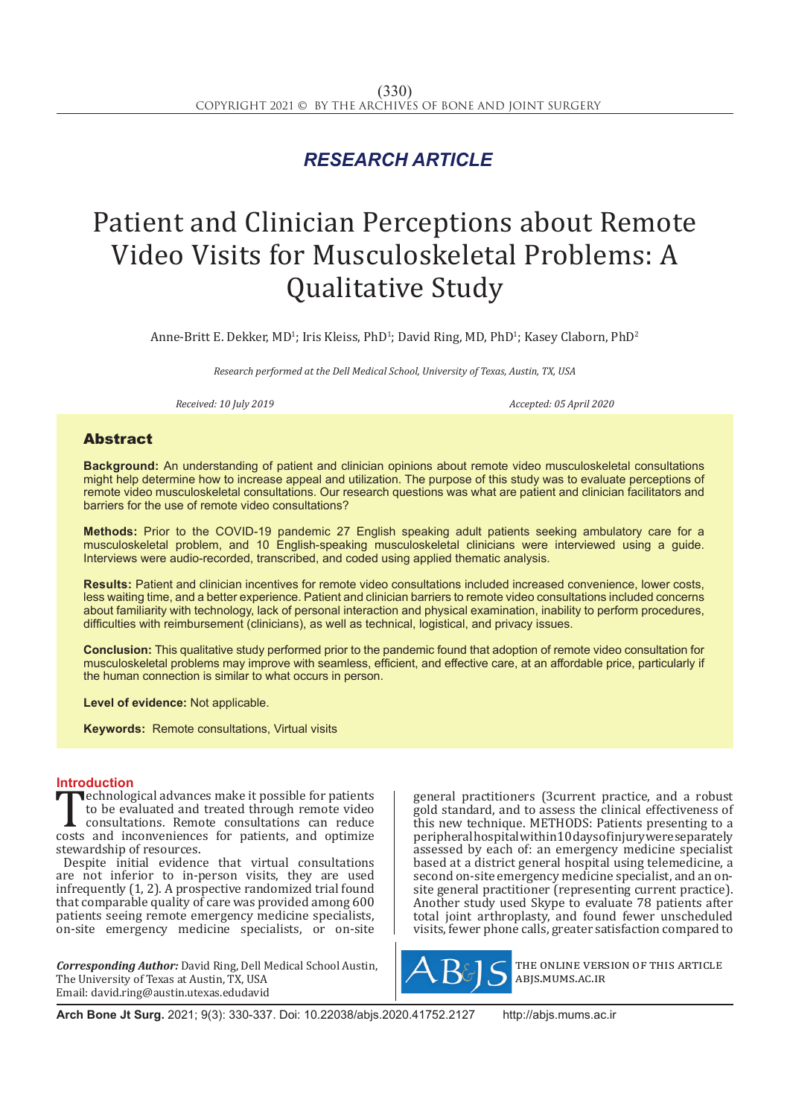# *RESEARCH ARTICLE*

# Patient and Clinician Perceptions about Remote Video Visits for Musculoskeletal Problems: A Qualitative Study

Anne-Britt E. Dekker, MD<sup>1</sup>; Iris Kleiss, PhD<sup>1</sup>; David Ring, MD, PhD<sup>1</sup>; Kasey Claborn, PhD<sup>2</sup>

*Research performed at the Dell Medical School, University of Texas, Austin, TX, USA*

*Received: 10 July 2019 Accepted: 05 April 2020*

### Abstract

**Background:** An understanding of patient and clinician opinions about remote video musculoskeletal consultations might help determine how to increase appeal and utilization. The purpose of this study was to evaluate perceptions of remote video musculoskeletal consultations. Our research questions was what are patient and clinician facilitators and barriers for the use of remote video consultations?

**Methods:** Prior to the COVID-19 pandemic 27 English speaking adult patients seeking ambulatory care for a musculoskeletal problem, and 10 English-speaking musculoskeletal clinicians were interviewed using a guide. Interviews were audio-recorded, transcribed, and coded using applied thematic analysis.

**Results:** Patient and clinician incentives for remote video consultations included increased convenience, lower costs, less waiting time, and a better experience. Patient and clinician barriers to remote video consultations included concerns about familiarity with technology, lack of personal interaction and physical examination, inability to perform procedures, difficulties with reimbursement (clinicians), as well as technical, logistical, and privacy issues.

**Conclusion:** This qualitative study performed prior to the pandemic found that adoption of remote video consultation for musculoskeletal problems may improve with seamless, efficient, and effective care, at an affordable price, particularly if the human connection is similar to what occurs in person.

**Level of evidence:** Not applicable.

**Keywords:** Remote consultations, Virtual visits

**Introduction**<br>**The example is a constant of the set of the set of the set of patients Technological advances make it possible for patients**<br>to be evaluated and treated through remote video<br>consultations. Remote consultations can reduce<br>costs and inconveniences for patients, and optimize<br>stawardship of reso to be evaluated and treated through remote video consultations. Remote consultations can reduce stewardship of resources.

Despite initial evidence that virtual consultations are not inferior to in-person visits, they are used infrequently (1, 2). A prospective randomized trial found that comparable quality of care was provided among 600 patients seeing remote emergency medicine specialists, on-site emergency medicine specialists, or on-site

*Corresponding Author:* David Ring, Dell Medical School Austin, The University of Texas at Austin, TX, USA Email: david.ring@austin.utexas.edudavid

general practitioners (3current practice, and a robust gold standard, and to assess the clinical effectiveness of this new technique. METHODS: Patients presenting to a peripheral hospital within 10 days of injury were separately assessed by each of: an emergency medicine specialist based at a district general hospital using telemedicine, a second on-site emergency medicine specialist, and an onsite general practitioner (representing current practice). Another study used Skype to evaluate 78 patients after total joint arthroplasty, and found fewer unscheduled visits, fewer phone calls, greater satisfaction compared to



the online version of this article abjs.mums.ac.ir

**Arch Bone Jt Surg.** 2021; 9(3): 330-337. Doi: 10.22038/abjs.2020.41752.2127 http://abjs.mums.ac.ir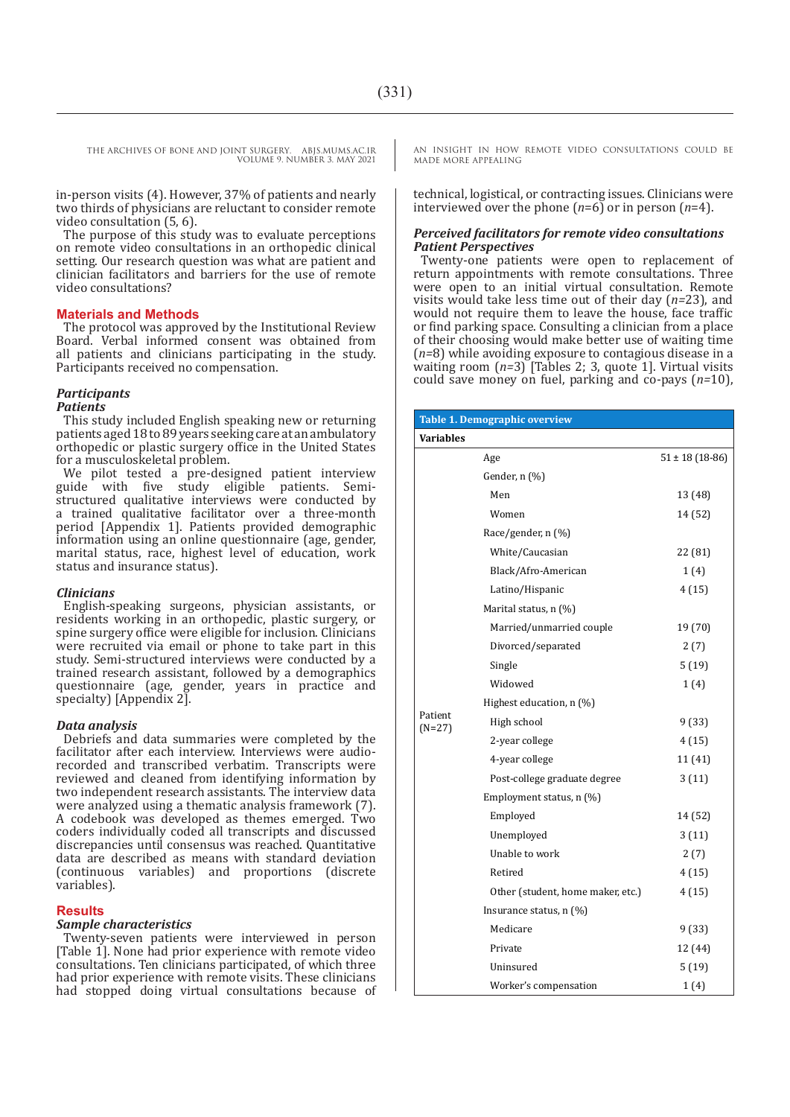in-person visits (4). However, 37% of patients and nearly two thirds of physicians are reluctant to consider remote video consultation (5, 6).

The purpose of this study was to evaluate perceptions on remote video consultations in an orthopedic clinical setting. Our research question was what are patient and clinician facilitators and barriers for the use of remote video consultations?

#### **Materials and Methods**

The protocol was approved by the Institutional Review Board. Verbal informed consent was obtained from all patients and clinicians participating in the study. Participants received no compensation.

#### *Participants*

#### *Patients*

This study included English speaking new or returning patients aged 18 to 89 years seeking care at an ambulatory orthopedic or plastic surgery office in the United States for a musculoskeletal problem.

We pilot tested a pre-designed patient interview guide with five study eligible patients. Semistructured qualitative interviews were conducted by a trained qualitative facilitator over a three-month period [Appendix 1]. Patients provided demographic information using an online questionnaire (age, gender, marital status, race, highest level of education, work status and insurance status).

#### *Clinicians*

English-speaking surgeons, physician assistants, or residents working in an orthopedic, plastic surgery, or spine surgery office were eligible for inclusion. Clinicians were recruited via email or phone to take part in this study. Semi-structured interviews were conducted by a trained research assistant, followed by a demographics questionnaire (age, gender, years in practice and specialty) [Appendix 2].

#### *Data analysis*

Debriefs and data summaries were completed by the facilitator after each interview. Interviews were audiorecorded and transcribed verbatim. Transcripts were reviewed and cleaned from identifying information by two independent research assistants. The interview data were analyzed using a thematic analysis framework (7). A codebook was developed as themes emerged. Two coders individually coded all transcripts and discussed discrepancies until consensus was reached. Quantitative data are described as means with standard deviation (continuous variables) and proportions (discrete variables).

#### **Results**

#### *Sample characteristics*

Twenty-seven patients were interviewed in person [Table 1]. None had prior experience with remote video consultations. Ten clinicians participated, of which three had prior experience with remote visits. These clinicians had stopped doing virtual consultations because of AN INSIGHT IN HOW REMOTE VIDEO CONSULTATIONS COULD BE MADE MORE APPEALING

technical, logistical, or contracting issues. Clinicians were interviewed over the phone (*n*=6) or in person (*n*=4).

#### *Perceived facilitators for remote video consultations Patient Perspectives*

Twenty-one patients were open to replacement of return appointments with remote consultations. Three were open to an initial virtual consultation. Remote visits would take less time out of their day (*n=*23), and would not require them to leave the house, face traffic or find parking space. Consulting a clinician from a place of their choosing would make better use of waiting time (*n=*8) while avoiding exposure to contagious disease in a waiting room (*n=*3) [Tables 2; 3, quote 1]. Virtual visits could save money on fuel, parking and co-pays (*n=*10),

| <b>Table 1. Demographic overview</b> |                                   |                    |  |  |  |  |
|--------------------------------------|-----------------------------------|--------------------|--|--|--|--|
| <b>Variables</b>                     |                                   |                    |  |  |  |  |
|                                      | Age                               | $51 \pm 18(18-86)$ |  |  |  |  |
|                                      | Gender, n (%)                     |                    |  |  |  |  |
|                                      | Men                               | 13 (48)            |  |  |  |  |
|                                      | Women                             | 14 (52)            |  |  |  |  |
|                                      | Race/gender, n (%)                |                    |  |  |  |  |
|                                      | White/Caucasian                   | 22 (81)            |  |  |  |  |
|                                      | Black/Afro-American               | 1(4)               |  |  |  |  |
|                                      | Latino/Hispanic                   | 4 (15)             |  |  |  |  |
|                                      | Marital status, n (%)             |                    |  |  |  |  |
|                                      | Married/unmarried couple          | 19 (70)            |  |  |  |  |
|                                      | Divorced/separated                | 2(7)               |  |  |  |  |
|                                      | Single                            | 5(19)              |  |  |  |  |
|                                      | Widowed                           | 1(4)               |  |  |  |  |
|                                      | Highest education, $n$ (%)        |                    |  |  |  |  |
| Patient<br>$(N=27)$                  | High school                       | 9(33)              |  |  |  |  |
|                                      | 2-year college                    | 4(15)              |  |  |  |  |
|                                      | 4-year college                    | 11 (41)            |  |  |  |  |
|                                      | Post-college graduate degree      | 3(11)              |  |  |  |  |
|                                      | Employment status, n (%)          |                    |  |  |  |  |
|                                      | Employed                          | 14 (52)            |  |  |  |  |
|                                      | Unemployed                        | 3(11)              |  |  |  |  |
|                                      | Unable to work                    | 2(7)               |  |  |  |  |
|                                      | Retired                           | 4(15)              |  |  |  |  |
|                                      | Other (student, home maker, etc.) | 4(15)              |  |  |  |  |
|                                      | Insurance status, $n \leq 0$      |                    |  |  |  |  |
|                                      | Medicare                          | 9(33)              |  |  |  |  |
|                                      | Private                           | 12 (44)            |  |  |  |  |
|                                      | Uninsured                         | 5(19)              |  |  |  |  |
|                                      | Worker's compensation             | 1(4)               |  |  |  |  |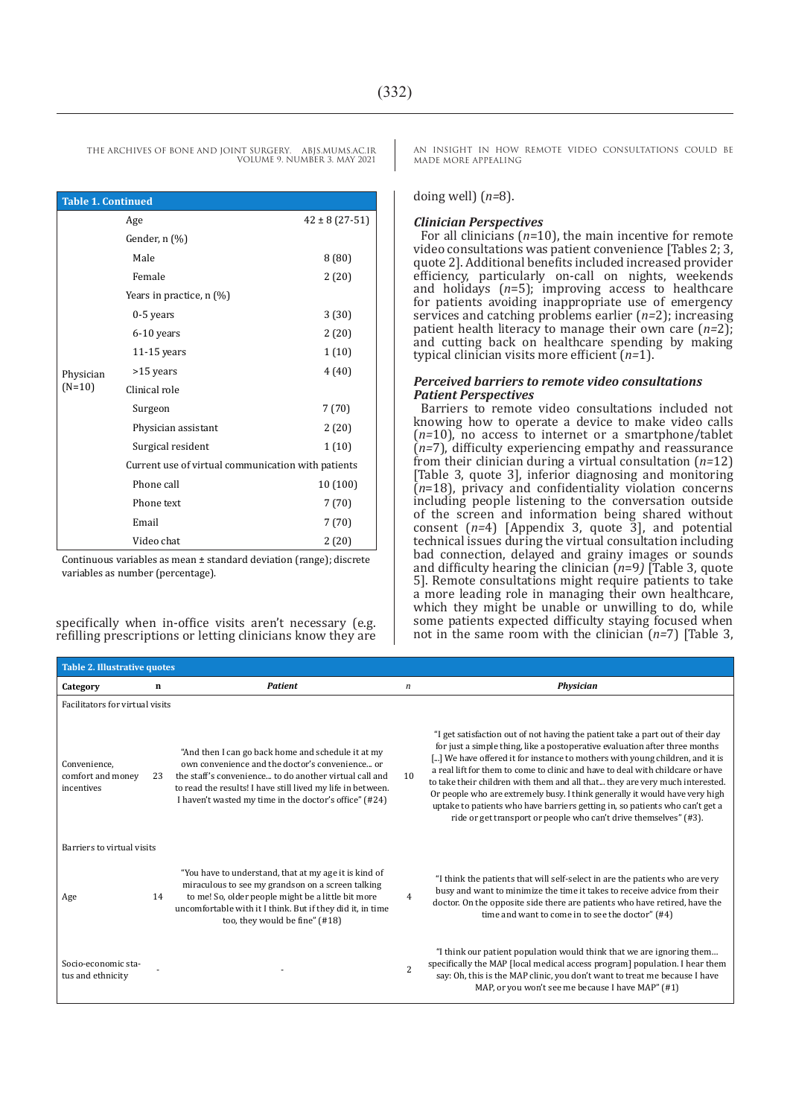| <b>Table 1. Continued</b> |                                                    |                     |  |  |  |  |
|---------------------------|----------------------------------------------------|---------------------|--|--|--|--|
|                           | Age                                                | $42 \pm 8(27 - 51)$ |  |  |  |  |
|                           | Gender, n (%)                                      |                     |  |  |  |  |
|                           | Male                                               | 8(80)               |  |  |  |  |
|                           | Female                                             | 2(20)               |  |  |  |  |
|                           | Years in practice, $n$ (%)                         |                     |  |  |  |  |
|                           | 0-5 years                                          | 3(30)               |  |  |  |  |
|                           | 6-10 years                                         | 2(20)               |  |  |  |  |
|                           | $11-15$ years                                      | 1(10)               |  |  |  |  |
| Physician                 | >15 years                                          | 4(40)               |  |  |  |  |
| $(N=10)$                  | Clinical role                                      |                     |  |  |  |  |
|                           | Surgeon                                            | 7(70)               |  |  |  |  |
|                           | Physician assistant                                | 2(20)               |  |  |  |  |
|                           | Surgical resident                                  | 1(10)               |  |  |  |  |
|                           | Current use of virtual communication with patients |                     |  |  |  |  |
|                           | Phone call                                         | 10 (100)            |  |  |  |  |
|                           | Phone text                                         | 7(70)               |  |  |  |  |
|                           | Email                                              | 7(70)               |  |  |  |  |
|                           | Video chat                                         | 2(20)               |  |  |  |  |

Continuous variables as mean ± standard deviation (range); discrete variables as number (percentage).

specifically when in-office visits aren't necessary (e.g. refilling prescriptions or letting clinicians know they are AN INSIGHT IN HOW REMOTE VIDEO CONSULTATIONS COULD BE MADE MORE APPEALING

doing well) (*n=*8).

#### *Clinician Perspectives*

For all clinicians (*n*=10), the main incentive for remote video consultations was patient convenience [Tables 2; 3, quote 2]. Additional benefits included increased provider efficiency, particularly on-call on nights, weekends and holidays (*n*=5); improving access to healthcare for patients avoiding inappropriate use of emergency services and catching problems earlier (*n=*2); increasing patient health literacy to manage their own care (*n=*2); and cutting back on healthcare spending by making typical clinician visits more efficient (*n=*1).

#### *Perceived barriers to remote video consultations Patient Perspectives*

Barriers to remote video consultations included not knowing how to operate a device to make video calls (*n=*10), no access to internet or a smartphone/tablet (*n=*7), difficulty experiencing empathy and reassurance from their clinician during a virtual consultation (*n=*12) [Table 3, quote 3], inferior diagnosing and monitoring (*n*=18), privacy and confidentiality violation concerns including people listening to the conversation outside of the screen and information being shared without consent (*n=*4) [Appendix 3, quote 3], and potential technical issues during the virtual consultation including bad connection, delayed and grainy images or sounds and difficulty hearing the clinician (*n*=9*)* [Table 3, quote 5]. Remote consultations might require patients to take a more leading role in managing their own healthcare, which they might be unable or unwilling to do, while some patients expected difficulty staying focused when not in the same room with the clinician (*n=*7) [Table 3,

| <b>Table 2. Illustrative quotes</b>             |    |                                                                                                                                                                                                                                                                                          |                  |                                                                                                                                                                                                                                                                                                                                                                                                                                                                                                                                                                                                                                                     |  |  |
|-------------------------------------------------|----|------------------------------------------------------------------------------------------------------------------------------------------------------------------------------------------------------------------------------------------------------------------------------------------|------------------|-----------------------------------------------------------------------------------------------------------------------------------------------------------------------------------------------------------------------------------------------------------------------------------------------------------------------------------------------------------------------------------------------------------------------------------------------------------------------------------------------------------------------------------------------------------------------------------------------------------------------------------------------------|--|--|
| Category                                        | n  | <b>Patient</b>                                                                                                                                                                                                                                                                           | $\boldsymbol{n}$ | <b>Physician</b>                                                                                                                                                                                                                                                                                                                                                                                                                                                                                                                                                                                                                                    |  |  |
| Facilitators for virtual visits                 |    |                                                                                                                                                                                                                                                                                          |                  |                                                                                                                                                                                                                                                                                                                                                                                                                                                                                                                                                                                                                                                     |  |  |
| Convenience,<br>comfort and money<br>incentives | 23 | "And then I can go back home and schedule it at my<br>own convenience and the doctor's convenience or<br>the staff's convenience to do another virtual call and<br>to read the results! I have still lived my life in between.<br>I haven't wasted my time in the doctor's office" (#24) | 10               | "I get satisfaction out of not having the patient take a part out of their day<br>for just a simple thing, like a postoperative evaluation after three months<br>[] We have offered it for instance to mothers with young children, and it is<br>a real lift for them to come to clinic and have to deal with childcare or have<br>to take their children with them and all that they are very much interested.<br>Or people who are extremely busy. I think generally it would have very high<br>uptake to patients who have barriers getting in, so patients who can't get a<br>ride or get transport or people who can't drive themselves" (#3). |  |  |
| Barriers to virtual visits                      |    |                                                                                                                                                                                                                                                                                          |                  |                                                                                                                                                                                                                                                                                                                                                                                                                                                                                                                                                                                                                                                     |  |  |
| Age                                             | 14 | "You have to understand, that at my age it is kind of<br>miraculous to see my grandson on a screen talking<br>to me! So, older people might be a little bit more<br>uncomfortable with it I think. But if they did it, in time<br>too, they would be fine" (#18)                         | 4                | "I think the patients that will self-select in are the patients who are very<br>busy and want to minimize the time it takes to receive advice from their<br>doctor. On the opposite side there are patients who have retired, have the<br>time and want to come in to see the doctor" (#4)                                                                                                                                                                                                                                                                                                                                                          |  |  |
| Socio-economic sta-<br>tus and ethnicity        |    |                                                                                                                                                                                                                                                                                          | $\overline{c}$   | "I think our patient population would think that we are ignoring them<br>specifically the MAP [local medical access program] population. I hear them<br>say: Oh, this is the MAP clinic, you don't want to treat me because I have<br>MAP, or you won't see me because I have MAP" (#1)                                                                                                                                                                                                                                                                                                                                                             |  |  |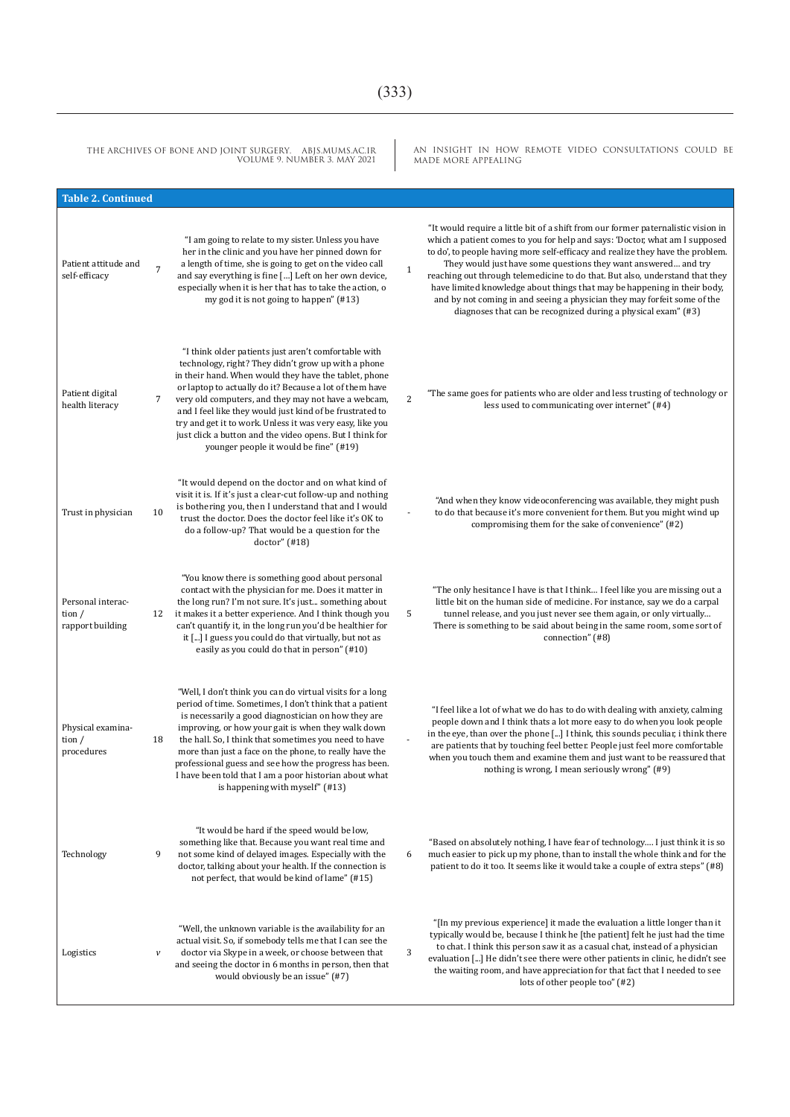## $(333)$

| THE ARCHIVES OF BONE AND JOINT SURGERY. ABJS.MUMS.AC.IR<br>VOLUME 9. NUMBER 3. MAY 2021 |                           | AN INSIGHT IN HOW REMOTE VIDEO CONSULTATIONS COULD BE<br>MADE MORE APPEALING                                                                                                                                                                                                                                                                                                                                                                                                                                          |                |                                                                                                                                                                                                                                                                                                                                                                                                                                                                                                                                                                                                                               |
|-----------------------------------------------------------------------------------------|---------------------------|-----------------------------------------------------------------------------------------------------------------------------------------------------------------------------------------------------------------------------------------------------------------------------------------------------------------------------------------------------------------------------------------------------------------------------------------------------------------------------------------------------------------------|----------------|-------------------------------------------------------------------------------------------------------------------------------------------------------------------------------------------------------------------------------------------------------------------------------------------------------------------------------------------------------------------------------------------------------------------------------------------------------------------------------------------------------------------------------------------------------------------------------------------------------------------------------|
| <b>Table 2. Continued</b>                                                               |                           |                                                                                                                                                                                                                                                                                                                                                                                                                                                                                                                       |                |                                                                                                                                                                                                                                                                                                                                                                                                                                                                                                                                                                                                                               |
| Patient attitude and<br>self-efficacy                                                   | $\overline{7}$            | "I am going to relate to my sister. Unless you have<br>her in the clinic and you have her pinned down for<br>a length of time, she is going to get on the video call<br>and say everything is fine [] Left on her own device,<br>especially when it is her that has to take the action, o<br>my god it is not going to happen" (#13)                                                                                                                                                                                  | $1\,$          | "It would require a little bit of a shift from our former paternalistic vision in<br>which a patient comes to you for help and says: 'Doctor, what am I supposed<br>to do', to people having more self-efficacy and realize they have the problem.<br>They would just have some questions they want answered and try<br>reaching out through telemedicine to do that. But also, understand that they<br>have limited knowledge about things that may be happening in their body,<br>and by not coming in and seeing a physician they may forfeit some of the<br>diagnoses that can be recognized during a physical exam" (#3) |
| Patient digital<br>health literacy                                                      | 7                         | "I think older patients just aren't comfortable with<br>technology, right? They didn't grow up with a phone<br>in their hand. When would they have the tablet, phone<br>or laptop to actually do it? Because a lot of them have<br>very old computers, and they may not have a webcam,<br>and I feel like they would just kind of be frustrated to<br>try and get it to work. Unless it was very easy, like you<br>just click a button and the video opens. But I think for<br>younger people it would be fine" (#19) | $\overline{c}$ | "The same goes for patients who are older and less trusting of technology or<br>less used to communicating over internet" (#4)                                                                                                                                                                                                                                                                                                                                                                                                                                                                                                |
| Trust in physician                                                                      | 10                        | "It would depend on the doctor and on what kind of<br>visit it is. If it's just a clear-cut follow-up and nothing<br>is bothering you, then I understand that and I would<br>trust the doctor. Does the doctor feel like it's OK to<br>do a follow-up? That would be a question for the<br>doctor''(#18)                                                                                                                                                                                                              |                | "And when they know videoconferencing was available, they might push<br>to do that because it's more convenient for them. But you might wind up<br>compromising them for the sake of convenience" (#2)                                                                                                                                                                                                                                                                                                                                                                                                                        |
| Personal interac-<br>tion $/$<br>rapport building                                       | 12                        | "You know there is something good about personal<br>contact with the physician for me. Does it matter in<br>the long run? I'm not sure. It's just something about<br>it makes it a better experience. And I think though you<br>can't quantify it, in the long run you'd be healthier for<br>it [] I guess you could do that virtually, but not as<br>easily as you could do that in person" (#10)                                                                                                                    | 5              | "The only hesitance I have is that I think I feel like you are missing out a<br>little bit on the human side of medicine. For instance, say we do a carpal<br>tunnel release, and you just never see them again, or only virtually<br>There is something to be said about being in the same room, some sort of<br>connection" (#8)                                                                                                                                                                                                                                                                                            |
| Physical examina-<br>tion $/$<br>procedures                                             | 18                        | "Well, I don't think you can do virtual visits for a long<br>period of time. Sometimes, I don't think that a patient<br>is necessarily a good diagnostician on how they are<br>improving, or how your gait is when they walk down<br>the hall. So, I think that sometimes you need to have<br>more than just a face on the phone, to really have the<br>professional guess and see how the progress has been.<br>I have been told that I am a poor historian about what<br>is happening with myself" (#13)            |                | "I feel like a lot of what we do has to do with dealing with anxiety, calming<br>people down and I think thats a lot more easy to do when you look people<br>in the eye, than over the phone [] I think, this sounds peculiar, i think there<br>are patients that by touching feel better. People just feel more comfortable<br>when you touch them and examine them and just want to be reassured that<br>nothing is wrong, I mean seriously wrong" (#9)                                                                                                                                                                     |
| Technology                                                                              | 9                         | "It would be hard if the speed would be low,<br>something like that. Because you want real time and<br>not some kind of delayed images. Especially with the<br>doctor, talking about your health. If the connection is<br>not perfect, that would be kind of lame" (#15)                                                                                                                                                                                                                                              | 6              | "Based on absolutely nothing, I have fear of technology I just think it is so<br>much easier to pick up my phone, than to install the whole think and for the<br>patient to do it too. It seems like it would take a couple of extra steps" (#8)                                                                                                                                                                                                                                                                                                                                                                              |
| Logistics                                                                               | $\boldsymbol{\mathit{V}}$ | "Well, the unknown variable is the availability for an<br>actual visit. So, if somebody tells me that I can see the<br>doctor via Skype in a week, or choose between that<br>and seeing the doctor in 6 months in person, then that<br>would obviously be an issue" (#7)                                                                                                                                                                                                                                              | 3              | "[In my previous experience] it made the evaluation a little longer than it<br>typically would be, because I think he [the patient] felt he just had the time<br>to chat. I think this person saw it as a casual chat, instead of a physician<br>evaluation [] He didn't see there were other patients in clinic, he didn't see<br>the waiting room, and have appreciation for that fact that I needed to see<br>lots of other people too" (#2)                                                                                                                                                                               |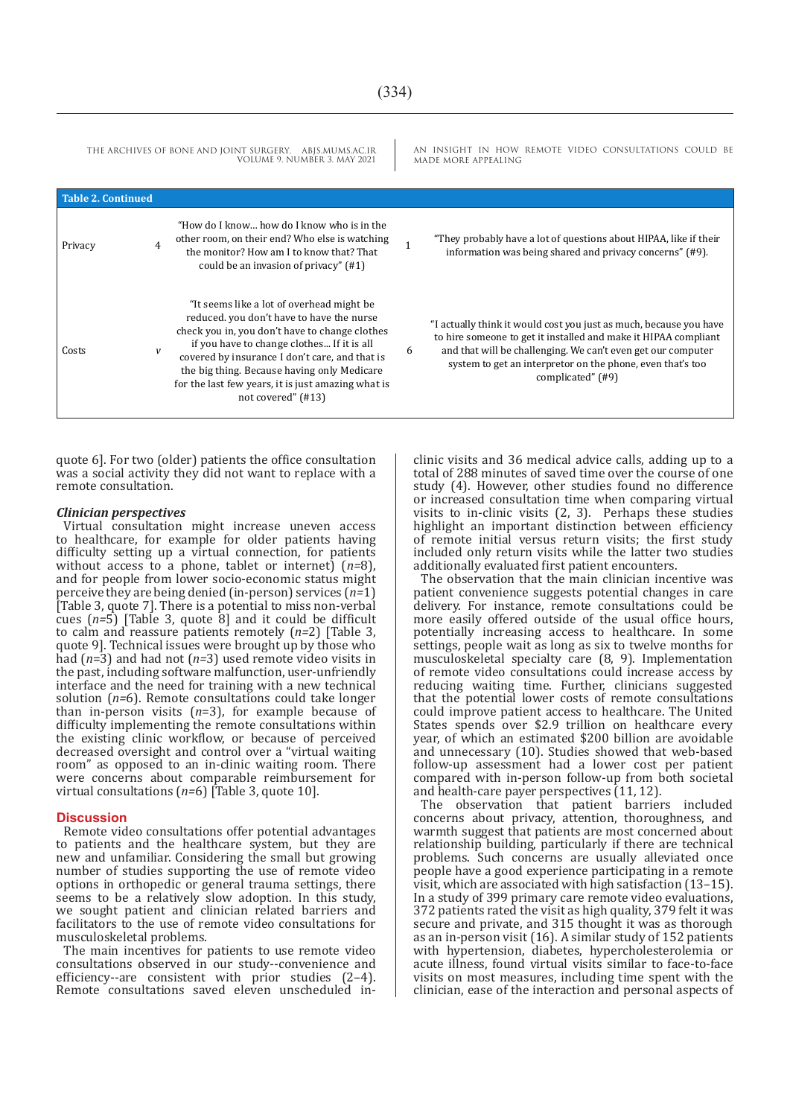AN INSIGHT IN HOW REMOTE VIDEO CONSULTATIONS COULD BE MADE MORE APPEALING THE ARCHIVES OF BONE AND JOINT SURGERY. ABJS.MUMS.AC.IR VOLUME 9. NUMBER 3. MAY 2021 **Table 2. Continued** Privacy 4 "How do I know… how do I know who is in the other room, on their end? Who else is watching the monitor? How am I to know that? That could be an invasion of privacy" (#1) <sup>1</sup> "They probably have a lot of questions about HIPAA, like if their information was being shared and privacy concerns" (#9). Costs *v* "It seems like a lot of overhead might be reduced. you don't have to have the nurse check you in, you don't have to change clothes if you have to change clothes... If it is all covered by insurance I don't care, and that is the big thing. Because having only Medicare for the last few years, it is just amazing what is not covered" (#13) 6 "I actually think it would cost you just as much, because you have to hire someone to get it installed and make it HIPAA compliant and that will be challenging. We can't even get our computer system to get an interpretor on the phone, even that's too complicated" (#9)

quote 6]. For two (older) patients the office consultation was a social activity they did not want to replace with a remote consultation.

#### *Clinician perspectives*

Virtual consultation might increase uneven access to healthcare, for example for older patients having difficulty setting up a virtual connection, for patients without access to a phone, tablet or internet) (*n=*8), and for people from lower socio-economic status might perceive they are being denied (in-person) services (*n=*1) [Table 3, quote 7]. There is a potential to miss non-verbal cues (*n=*5) [Table 3, quote 8] and it could be difficult to calm and reassure patients remotely (*n=*2) [Table 3, quote 9]. Technical issues were brought up by those who had (*n*=3) and had not (*n=*3) used remote video visits in the past, including software malfunction, user-unfriendly interface and the need for training with a new technical solution (*n=*6). Remote consultations could take longer than in-person visits (*n*=3), for example because of difficulty implementing the remote consultations within the existing clinic workflow, or because of perceived decreased oversight and control over a "virtual waiting room" as opposed to an in-clinic waiting room. There were concerns about comparable reimbursement for virtual consultations (*n=*6) [Table 3, quote 10].

#### **Discussion**

Remote video consultations offer potential advantages to patients and the healthcare system, but they are new and unfamiliar. Considering the small but growing number of studies supporting the use of remote video options in orthopedic or general trauma settings, there seems to be a relatively slow adoption. In this study, we sought patient and clinician related barriers and facilitators to the use of remote video consultations for musculoskeletal problems.

The main incentives for patients to use remote video consultations observed in our study--convenience and efficiency--are consistent with prior studies (2–4). Remote consultations saved eleven unscheduled inclinic visits and 36 medical advice calls, adding up to a total of 288 minutes of saved time over the course of one study (4). However, other studies found no difference or increased consultation time when comparing virtual visits to in-clinic visits  $(2, 3)$ . Perhaps these studies highlight an important distinction between efficiency of remote initial versus return visits; the first study included only return visits while the latter two studies additionally evaluated first patient encounters.

The observation that the main clinician incentive was patient convenience suggests potential changes in care delivery. For instance, remote consultations could be more easily offered outside of the usual office hours, potentially increasing access to healthcare. In some settings, people wait as long as six to twelve months for musculoskeletal specialty care (8, 9). Implementation of remote video consultations could increase access by reducing waiting time. Further, clinicians suggested that the potential lower costs of remote consultations could improve patient access to healthcare. The United States spends over \$2.9 trillion on healthcare every year, of which an estimated \$200 billion are avoidable and unnecessary (10). Studies showed that web-based follow-up assessment had a lower cost per patient compared with in-person follow-up from both societal and health-care payer perspectives (11, 12).

The observation that patient barriers included concerns about privacy, attention, thoroughness, and warmth suggest that patients are most concerned about relationship building, particularly if there are technical problems. Such concerns are usually alleviated once people have a good experience participating in a remote visit, which are associated with high satisfaction (13–15). In a study of 399 primary care remote video evaluations, 372 patients rated the visit as high quality, 379 felt it was secure and private, and 315 thought it was as thorough as an in-person visit (16). A similar study of 152 patients with hypertension, diabetes, hypercholesterolemia or acute illness, found virtual visits similar to face-to-face visits on most measures, including time spent with the clinician, ease of the interaction and personal aspects of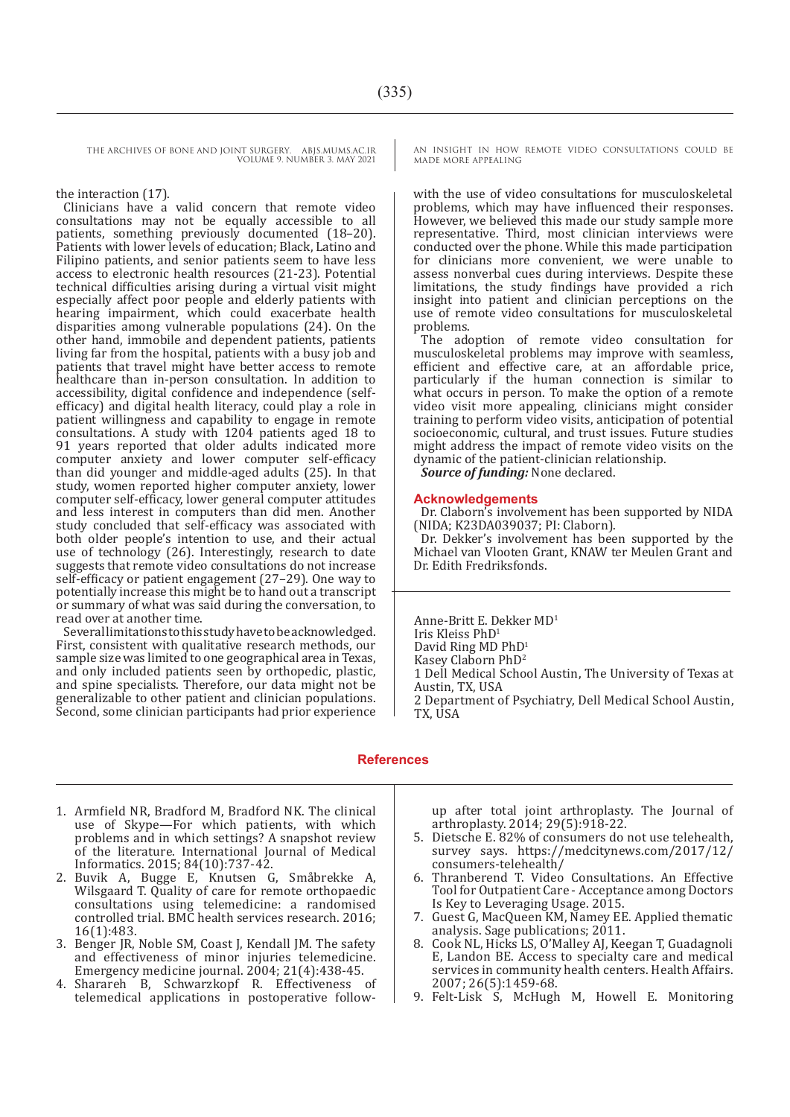#### the interaction (17).

Clinicians have a valid concern that remote video consultations may not be equally accessible to all patients, something previously documented (18–20). Patients with lower levels of education; Black, Latino and Filipino patients, and senior patients seem to have less access to electronic health resources (21-23). Potential technical difficulties arising during a virtual visit might especially affect poor people and elderly patients with hearing impairment, which could exacerbate health disparities among vulnerable populations (24). On the other hand, immobile and dependent patients, patients living far from the hospital, patients with a busy job and patients that travel might have better access to remote healthcare than in-person consultation. In addition to accessibility, digital confidence and independence (selfefficacy) and digital health literacy, could play a role in patient willingness and capability to engage in remote consultations. A study with 1204 patients aged 18 to 91 years reported that older adults indicated more computer anxiety and lower computer self-efficacy than did younger and middle-aged adults (25). In that study, women reported higher computer anxiety, lower computer self-efficacy, lower general computer attitudes and less interest in computers than did men. Another study concluded that self-efficacy was associated with both older people's intention to use, and their actual use of technology (26). Interestingly, research to date suggests that remote video consultations do not increase self-efficacy or patient engagement (27–29). One way to potentially increase this might be to hand out a transcript or summary of what was said during the conversation, to read over at another time.

Several limitations to this study have to be acknowledged. First, consistent with qualitative research methods, our sample size was limited to one geographical area in Texas, and only included patients seen by orthopedic, plastic, and spine specialists. Therefore, our data might not be generalizable to other patient and clinician populations. Second, some clinician participants had prior experience AN INSIGHT IN HOW REMOTE VIDEO CONSULTATIONS COULD BE MADE MORE APPEALING

with the use of video consultations for musculoskeletal problems, which may have influenced their responses. However, we believed this made our study sample more representative. Third, most clinician interviews were conducted over the phone. While this made participation for clinicians more convenient, we were unable to assess nonverbal cues during interviews. Despite these limitations, the study findings have provided a rich insight into patient and clinician perceptions on the use of remote video consultations for musculoskeletal problems.

The adoption of remote video consultation for musculoskeletal problems may improve with seamless, efficient and effective care, at an affordable price, particularly if the human connection is similar to what occurs in person. To make the option of a remote video visit more appealing, clinicians might consider training to perform video visits, anticipation of potential socioeconomic, cultural, and trust issues. Future studies might address the impact of remote video visits on the dynamic of the patient-clinician relationship.

*Source of funding:* None declared.

#### **Acknowledgements**

Dr. Claborn's involvement has been supported by NIDA (NIDA; K23DA039037; PI: Claborn).

Dr. Dekker's involvement has been supported by the Michael van Vlooten Grant, KNAW ter Meulen Grant and Dr. Edith Fredriksfonds.

Anne-Britt E. Dekker MD1 Iris Kleiss PhD1 David Ring MD PhD1 Kasey Claborn PhD2 1 Dell Medical School Austin, The University of Texas at Austin, TX, USA 2 Department of Psychiatry, Dell Medical School Austin, TX, USA

#### **References**

- 1. Armfield NR, Bradford M, Bradford NK. The clinical use of Skype—For which patients, with which problems and in which settings? A snapshot review of the literature. International Journal of Medical Informatics. 2015; 84(10):737-42.
- 2. Buvik A, Bugge E, Knutsen G, Småbrekke A, Wilsgaard T. Quality of care for remote orthopaedic consultations using telemedicine: a randomised controlled trial. BMC health services research. 2016; 16(1):483.
- 3. Benger JR, Noble SM, Coast J, Kendall JM. The safety and effectiveness of minor injuries telemedicine. Emergency medicine journal. 2004; 21(4):438-45.
- 4. Sharareh B, Schwarzkopf R. Effectiveness of telemedical applications in postoperative follow-

up after total joint arthroplasty. The Journal of arthroplasty. 2014; 29(5):918-22.

- 5. Dietsche E. 82% of consumers do not use telehealth, survey says. https://medcitynews.com/2017/12/ consumers-telehealth/
- 6. Thranberend T. Video Consultations. An Effective Tool for Outpatient Care - Acceptance among Doctors Is Key to Leveraging Usage. 2015.
- 7. Guest G, MacQueen KM, Namey EE. Applied thematic analysis. Sage publications; 2011.
- 8. Cook NL, Hicks LS, O'Malley AJ, Keegan T, Guadagnoli E, Landon BE. Access to specialty care and medical services in community health centers. Health Affairs. 2007; 26(5):1459-68.
- 9. Felt-Lisk S, McHugh M, Howell E. Monitoring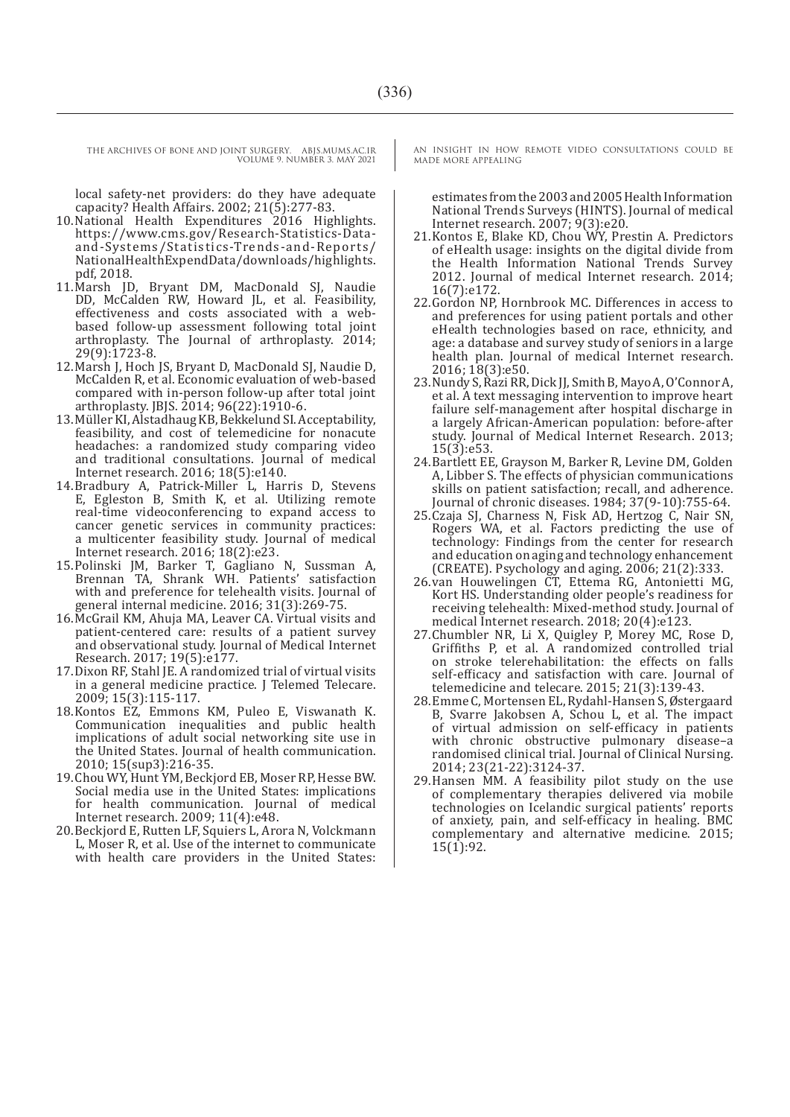local safety-net providers: do they have adequate capacity? Health Affairs. 2002; 21(5):277-83.

- 10. National Health Expenditures 2016 Highlights. https://www.cms.gov/Research-Statistics-Dataand-Systems/Statistics-Trends-and-Reports/ NationalHealthExpendData/downloads/highlights. pdf, 2018.
- 11.Marsh JD, Bryant DM, MacDonald SJ, Naudie DD, McCalden RW, Howard JL, et al. Feasibility, effectiveness and costs associated with a webbased follow-up assessment following total joint arthroplasty. The Journal of arthroplasty. 2014; 29(9):1723-8.
- 12.Marsh J, Hoch JS, Bryant D, MacDonald SJ, Naudie D, McCalden R, et al. Economic evaluation of web-based compared with in-person follow-up after total joint arthroplasty. JBJS. 2014; 96(22):1910-6.
- 13.Müller KI, Alstadhaug KB, Bekkelund SI. Acceptability, feasibility, and cost of telemedicine for nonacute headaches: a randomized study comparing video and traditional consultations. Journal of medical Internet research. 2016; 18(5):e140.
- 14.Bradbury A, Patrick-Miller L, Harris D, Stevens E, Egleston B, Smith K, et al. Utilizing remote real-time videoconferencing to expand access to cancer genetic services in community practices: a multicenter feasibility study. Journal of medical Internet research. 2016; 18(2):e23.
- 15.Polinski JM, Barker T, Gagliano N, Sussman A, Brennan TA, Shrank WH. Patients' satisfaction with and preference for telehealth visits. Journal of general internal medicine. 2016; 31(3):269-75.
- 16.McGrail KM, Ahuja MA, Leaver CA. Virtual visits and patient-centered care: results of a patient survey and observational study. Journal of Medical Internet Research. 2017; 19(5):e177.
- 17.Dixon RF, Stahl JE. A randomized trial of virtual visits in a general medicine practice. J Telemed Telecare. 2009; 15(3):115-117.
- 18.Kontos EZ, Emmons KM, Puleo E, Viswanath K. Communication inequalities and public health implications of adult social networking site use in the United States. Journal of health communication. 2010; 15(sup3):216-35.
- 19.Chou WY, Hunt YM, Beckjord EB, Moser RP, Hesse BW. Social media use in the United States: implications for health communication. Journal of medical Internet research. 2009; 11(4):e48.
- 20.Beckjord E, Rutten LF, Squiers L, Arora N, Volckmann L, Moser R, et al. Use of the internet to communicate with health care providers in the United States:

AN INSIGHT IN HOW REMOTE VIDEO CONSULTATIONS COULD BE MADE MORE APPEALING

estimates from the 2003 and 2005 Health Information National Trends Surveys (HINTS). Journal of medical Internet research.  $2007; \dot{9}(3):200$ .

- 21.Kontos E, Blake KD, Chou WY, Prestin A. Predictors of eHealth usage: insights on the digital divide from the Health Information National Trends Survey 2012. Journal of medical Internet research. 2014; 16(7):e172.
- 22.Gordon NP, Hornbrook MC. Differences in access to and preferences for using patient portals and other eHealth technologies based on race, ethnicity, and age: a database and survey study of seniors in a large health plan. Journal of medical Internet research. 2016; 18(3):e50.
- 23.Nundy S, Razi RR, Dick JJ, Smith B, Mayo A, O'Connor A, et al. A text messaging intervention to improve heart failure self-management after hospital discharge in a largely African-American population: before-after study. Journal of Medical Internet Research. 2013; 15(3):e53.
- 24.Bartlett EE, Grayson M, Barker R, Levine DM, Golden A, Libber S. The effects of physician communications skills on patient satisfaction; recall, and adherence. Journal of chronic diseases. 1984; 37(9-10):755-64.
- 25.Czaja SJ, Charness N, Fisk AD, Hertzog C, Nair SN, Rogers WA, et al. Factors predicting the use of technology: Findings from the center for research and education on aging and technology enhancement (CREATE). Psychology and aging. 2006; 21(2):333.
- 26.van Houwelingen CT, Ettema RG, Antonietti MG, Kort HS. Understanding older people's readiness for receiving telehealth: Mixed-method study. Journal of medical Internet research. 2018; 20(4):e123.
- 27.Chumbler NR, Li X, Quigley P, Morey MC, Rose D, Griffiths P, et al. A randomized controlled trial on stroke telerehabilitation: the effects on falls self-efficacy and satisfaction with care. Journal of telemedicine and telecare. 2015; 21(3):139-43.
- 28.Emme C, Mortensen EL, Rydahl-Hansen S, Østergaard B, Svarre Jakobsen A, Schou L, et al. The impact of virtual admission on self‐efficacy in patients with chronic obstructive pulmonary disease–a randomised clinical trial. Journal of Clinical Nursing. 2014; 23(21-22):3124-37.
- 29.Hansen MM. A feasibility pilot study on the use of complementary therapies delivered via mobile technologies on Icelandic surgical patients' reports of anxiety, pain, and self-efficacy in healing. BMC complementary and alternative medicine. 2015; 15(1):92.